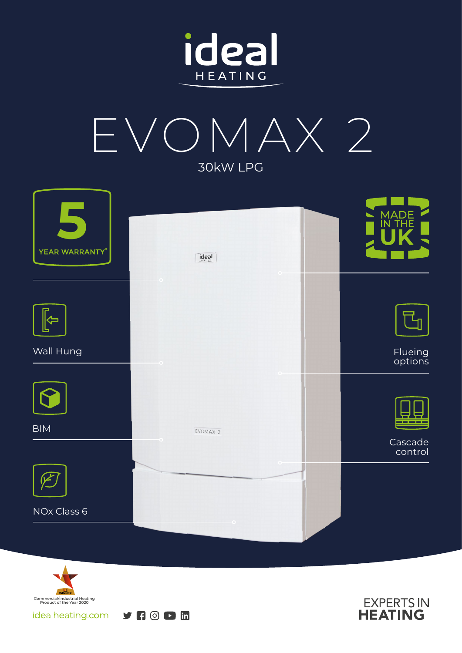



| YEAR WARRANTY* | ideal               | MADE<br>IN THE     |
|----------------|---------------------|--------------------|
|                | $\circ$             |                    |
|                |                     |                    |
| Wall Hung      |                     | Flueing<br>options |
|                |                     |                    |
| <b>BIM</b>     | EVOMAX <sub>2</sub> |                    |
|                |                     | Cascade<br>control |
|                |                     |                    |
| NOx Class 6    |                     |                    |
|                |                     |                    |



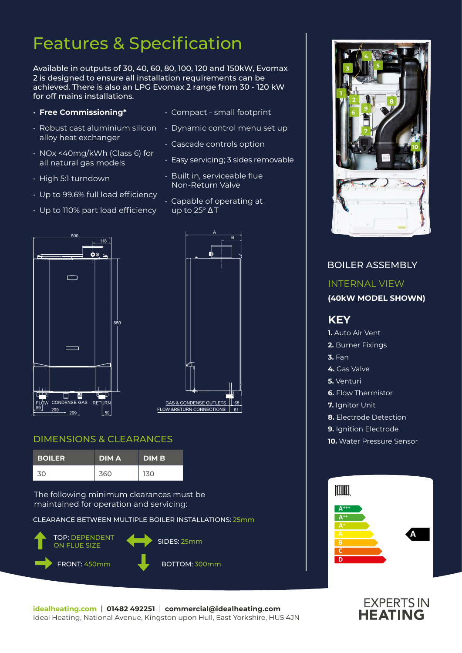# Features & Specification

Available in outputs of 30, 40, 60, 80, 100, 120 and 150kW, Evomax 2 is designed to ensure all installation requirements can be achieved. There is also an LPG Evomax 2 range from 30 - 120 kW for off mains installations.

- **Free Commissioning\***
- alloy heat exchanger
- NOx <40mg/kWh (Class 6) for all natural gas models
- High 5:1 turndown
- Up to 99.6% full load efficiency
- Up to 110% part load efficiency
- Compact small footprint
- $\cdot$  Robust cast aluminium silicon  $\;\;\cdot\;$  Dynamic control menu set up
	- Cascade controls option
	- Easy servicing; 3 sides removable
	- Built in, serviceable flue Non-Return Valve
	- Capable of operating at up to 25° Δ T





# DIMENSIONS & CLEARANCES

| <b>BOILER</b> | <b>DIMA</b> | <b>DIMB</b> |
|---------------|-------------|-------------|
| 30            | 360         | 130         |

The following minimum clearances must be maintained for operation and servicing:

CLEARANCE BETWEEN MULTIPLE BOILER INSTALLATIONS: 25mm





BOILER ASSEMBLY

# INTERNAL VIEW **(40kW MODEL SHOWN) KEY 1.** Auto Air Vent **2.** Burner Fixings **3.** Fan **4.** Gas Valve **5.** Venturi **6.** Flow Thermistor **7.** Ignitor Unit **8.** Electrode Detection **9.** Ignition Electrode **10.** Water Pressure Sensor Imm **A+++ A++ A A**



**C D**

**idealheating.com** | **01482 492251** | **commercial@idealheating.com**  Ideal Heating, National Avenue, Kingston upon Hull, East Yorkshire, HU5 4JN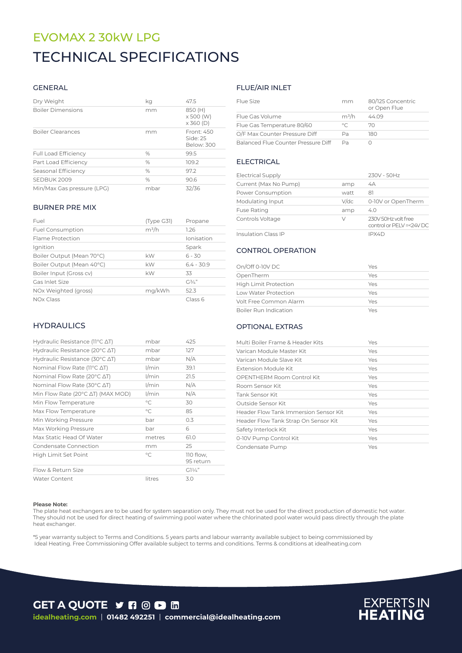# EVOMAX 2 30kW LPG TECHNICAL SPECIFICATIONS

### GENERAL

| Dry Weight                  | kq   | 47.5                                            |
|-----------------------------|------|-------------------------------------------------|
| <b>Boiler Dimensions</b>    | mm   | 850 (H)<br>$\times$ 500 (W)<br>$\times$ 360 (D) |
| <b>Boiler Clearances</b>    | mm   | Front: 450<br>Side: 25<br>Below: 300            |
| <b>Full Load Efficiency</b> | $\%$ | 99.5                                            |
| Part Load Efficiency        | $\%$ | 109.2                                           |
| Seasonal Efficiency         | $\%$ | 97.2                                            |
| SEDBUK 2009                 | $\%$ | 90.6                                            |
| Min/Max Gas pressure (LPG)  | mbar | 32/36                                           |

### BURNER PRE MIX

| Fuel                      | (Type G31) | Propane      |
|---------------------------|------------|--------------|
| <b>Fuel Consumption</b>   | $m^3/h$    | 1.26         |
| Flame Protection          |            | Ionisation   |
| Ignition                  |            | Spark        |
| Boiler Output (Mean 70°C) | kW         | $6 - 30$     |
| Boiler Output (Mean 40°C) | kW         | $6.4 - 30.9$ |
| Boiler Input (Gross cv)   | kW         | 33           |
| Gas Inlet Size            |            | $G^{3/2}$    |
| NOx Weighted (gross)      | mg/kWh     | 52.3         |
| NO <sub>x</sub> Class     |            | Class 6      |

# **HYDRAULICS**

| Hydraulic Resistance ( $11^{\circ}$ C $\Delta$ T)   | mbar         | 425                    |
|-----------------------------------------------------|--------------|------------------------|
| Hydraulic Resistance (20°C ∆T)                      | mbar         | 127                    |
| Hydraulic Resistance (30 $\degree$ C $\triangle$ T) | mbar         | N/A                    |
| Nominal Flow Rate (11°C ΔT)                         | $1/m$ in     | 39.1                   |
| Nominal Flow Rate (20°C ∆T)                         | l/min        | 21.5                   |
| Nominal Flow Rate (30°C $\Delta T$ )                | l/min        | N/A                    |
| Min Flow Rate (20°C ∆T) (MAX MOD)                   | $1/m$ in     | N/A                    |
| Min Flow Temperature                                | $^{\circ}$ C | 30                     |
| Max Flow Temperature                                | $^{\circ}$ C | 85                     |
| Min Working Pressure                                | bar          | 0.3                    |
| Max Working Pressure                                | bar          | 6                      |
| Max Static Head Of Water                            | metres       | 61.0                   |
| Condensate Connection                               | mm           | 25                     |
| High Limit Set Point                                | $\circ$ C    | 110 flow,<br>95 return |
| Flow & Return Size                                  |              | $GI\frac{1}{4}$        |
| <b>Water Content</b>                                | litres       | 3.0                    |

# FLUE/AIR INLET

| Flue Size                           | mm      | 80/125 Concentric<br>or Open Flue |
|-------------------------------------|---------|-----------------------------------|
| Flue Gas Volume                     | $m^3/h$ | 44.09                             |
| Flue Gas Temperature 80/60          | $\circ$ | 70                                |
| O/F Max Counter Pressure Diff       | Рa      | 180                               |
| Balanced Flue Counter Pressure Diff | Da      |                                   |

# ELECTRICAL

| <b>Electrical Supply</b>   |      | 230V - 50Hz                                      |
|----------------------------|------|--------------------------------------------------|
| Current (Max No Pump)      | amp  | 4A                                               |
| Power Consumption          | watt | 81                                               |
| Modulating Input           | V/dc | 0-10V or OpenTherm                               |
| <b>Fuse Rating</b>         | amp  | 4.0                                              |
| Controls Voltage           | V    | 230V 50Hz volt free<br>control or PELV =< 24V DC |
| <b>Insulation Class IP</b> |      | IPX4D                                            |

# CONTROL OPERATION

| On/Off 0-10V DC              | Yes |  |
|------------------------------|-----|--|
| OpenTherm                    | Yes |  |
|                              | Yes |  |
| <b>High Limit Protection</b> |     |  |
| Low Water Protection         | Yes |  |
| Volt Free Common Alarm       | Yes |  |
| <b>Boiler Run Indication</b> | Yes |  |

# OPTIONAL EXTRAS

| Multi Boiler Frame & Header Kits      | Yes |
|---------------------------------------|-----|
| Varican Module Master Kit             | Yes |
| Varican Module Slave Kit              | Yes |
| Extension Module Kit                  | Yes |
| OPENTHERM Room Control Kit            | Yes |
| Room Sensor Kit                       | Yes |
| Tank Sensor Kit                       | Yes |
| Outside Sensor Kit                    | Yes |
| Header Flow Tank Immersion Sensor Kit | Yes |
| Header Flow Tank Strap On Sensor Kit  | Yes |
| Safety Interlock Kit                  | Yes |
| 0-10V Pump Control Kit                | Yes |
| Condensate Pump                       | Yes |

#### **Please Note:**

The plate heat exchangers are to be used for system separation only. They must not be used for the direct production of domestic hot water. They should not be used for direct heating of swimming pool water where the chlorinated pool water would pass directly through the plate heat exchanger.

\*5 year warranty subject to Terms and Conditions. 5 years parts and labour warranty available subject to being commissioned by Ideal Heating. Free Commissioning Offer available subject to terms and conditions. Terms & conditions at idealheating.com